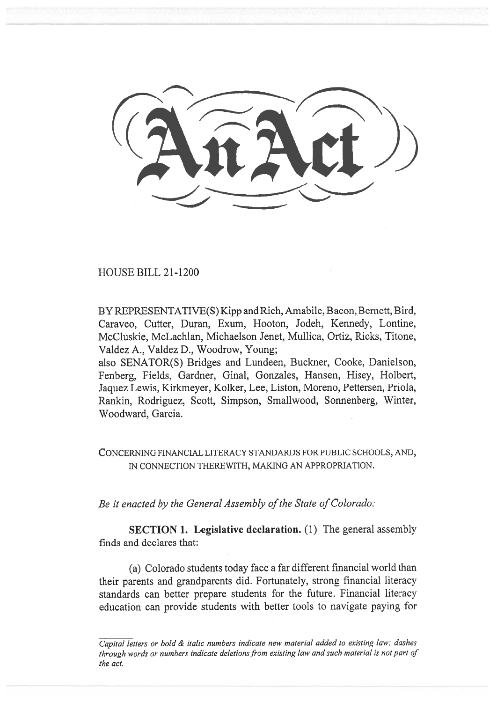HOUSE BILL 21-1200

BY REPRESENTATIVE(S) Kipp and Rich, Amabile, Bacon, Bernett, Bird, Caraveo, Cutter, Duran, Exum, Hooton, Jodeh, Kennedy, Lontine, McCluskie, McLachlan, Michaelson Jenet, Mullica, Ortiz, Ricks, Titone, Valdez A., Valdez D., Woodrow, Young;

also SENATOR(S) Bridges and Lundeen, Buckner, Cooke, Danielson, Fenberg, Fields, Gardner, Ginal, Gonzales, Hansen, Hisey, Holbert, Jaquez Lewis, Kirkmeyer, Kolker, Lee, Liston, Moreno, Pettersen, Priola, Rankin, Rodriguez, Scott, Simpson, Smallwood, Sonnenberg, Winter, Woodward, Garcia.

CONCERNING FINANCIAL LITERACY STANDARDS FOR PUBLIC SCHOOLS, AND, IN CONNECTION THEREWITH, MAKING AN APPROPRIATION.

Be it enacted by the General Assembly of the State of Colorado:

SECTION 1. Legislative declaration. (1) The general assembly finds and declares that:

(a) Colorado students today face a far different financial world than their parents and grandparents did. Fortunately, strong financial literacy standards can better prepare students for the future. Financial literacy education can provide students with better tools to navigate paying for

Capital letters or bold & italic numbers indicate new material added to existing law; dashes through words or numbers indicate deletions from existing law and such material is not part of the act.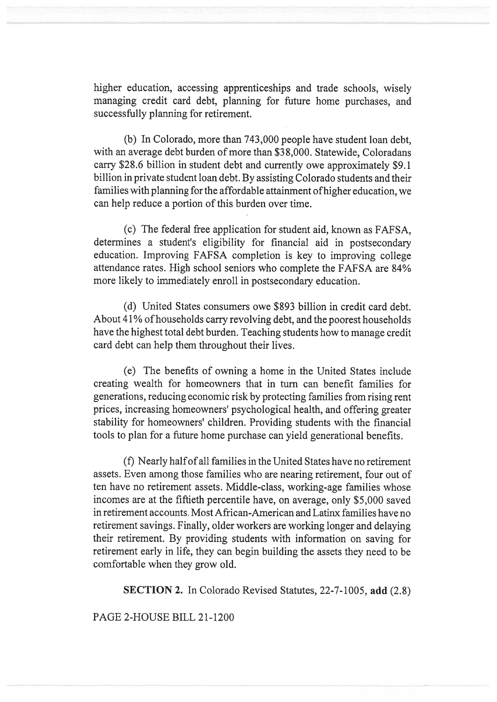higher education, accessing apprenticeships and trade schools, wisely managing credit card debt, planning for future home purchases, and successfully planning for retirement.

(b) In Colorado, more than 743,000 people have student loan debt, with an average debt burden of more than \$38,000. Statewide, Coloradans carry \$28.6 billion in student debt and currently owe approximately \$9.1 billion in private student loan debt. By assisting Colorado students and their families with planning for the affordable attainment of higher education, we can help reduce a portion of this burden over time.

(c) The federal free application for student aid, known as FAFSA, determines a student's eligibility for financial aid in postsecondary education. Improving FAFSA completion is key to improving college attendance rates. High school seniors who complete the FAFSA are 84% more likely to immediately enroll in postsecondary education.

(d) United States consumers owe \$893 billion in credit card debt. About 41% of households carry revolving debt, and the poorest households have the highest total debt burden. Teaching students how to manage credit card debt can help them throughout their lives.

(e) The benefits of owning a home in the United States include creating wealth for homeowners that in turn can benefit families for generations, reducing economic risk by protecting families from rising rent prices, increasing homeowners' psychological health, and offering greater stability for homeowners' children. Providing students with the financial tools to plan for a future home purchase can yield generational benefits.

(f) Nearly half of all families in the United States have no retirement assets. Even among those families who are nearing retirement, four out of ten have no retirement assets. Middle-class, working-age families whose incomes are at the fiftieth percentile have, on average, only \$5,000 saved in retirement accounts. Most African-American and Latinx families have no retirement savings. Finally, older workers are working longer and delaying their retirement. By providing students with information on saving for retirement early in life, they can begin building the assets they need to be comfortable when they grow old.

SECTION 2. In Colorado Revised Statutes, 22-7-1005, add (2.8)

PAGE 2-HOUSE BILL 21-1200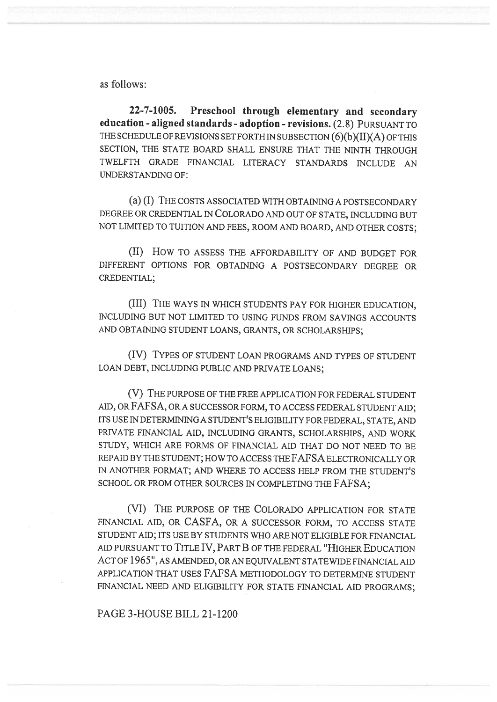as follows:

22-7-1005. Preschool through elementary and secondary education - aligned standards - adoption - revisions. (2.8) PURSUANT TO THE SCHEDULE OF REVISIONS SET FORTH IN SUBSECTION (6)(b)(II)(A) OF THIS SECTION, THE STATE BOARD SHALL ENSURE THAT THE NINTH THROUGH TWELFTH GRADE FINANCIAL LITERACY STANDARDS INCLUDE AN UNDERSTANDING OF:

(a) (I) THE COSTS ASSOCIATED WITH OBTAINING A POSTSECONDARY DEGREE OR CREDENTIAL IN COLORADO AND OUT OF STATE, INCLUDING BUT NOT LIMITED TO TUITION AND FEES, ROOM AND BOARD, AND OTHER COSTS;

(II) How TO ASSESS THE AFFORDABILITY OF AND BUDGET FOR DIFFERENT OPTIONS FOR OBTAINING A POSTSECONDARY DEGREE OR CREDENTIAL;

(III) THE WAYS IN WHICH STUDENTS PAY FOR HIGHER EDUCATION, INCLUDING BUT NOT LIMITED TO USING FUNDS FROM SAVINGS ACCOUNTS AND OBTAINING STUDENT LOANS, GRANTS, OR SCHOLARSHIPS;

(IV) TYPES OF STUDENT LOAN PROGRAMS AND TYPES OF STUDENT LOAN DEBT, INCLUDING PUBLIC AND PRIVATE LOANS;

(V) THE PURPOSE OF THE FREE APPLICATION FOR FEDERAL STUDENT AID, OR FAFSA, OR A SUCCESSOR FORM, TO ACCESS FEDERAL STUDENT AID; ITS USE IN DETERMINING A STUDENT'S ELIGIBILITY FOR FEDERAL, STATE, AND PRIVATE FINANCIAL AID, INCLUDING GRANTS, SCHOLARSHIPS, AND WORK STUDY, WHICH ARE FORMS OF FINANCIAL AID THAT DO NOT NEED TO BE REPAID BY THE STUDENT; HOW TO ACCESS THE FAFSA ELECTRONICALLY OR IN ANOTHER FORMAT; AND WHERE TO ACCESS HELP FROM THE STUDENT'S SCHOOL OR FROM OTHER SOURCES IN COMPLETING THE FAFSA;

(VI) THE PURPOSE OF THE COLORADO APPLICATION FOR STATE FINANCIAL AID, OR CASFA, OR A SUCCESSOR FORM, TO ACCESS STATE STUDENT AID; ITS USE BY STUDENTS WHO ARE NOT ELIGIBLE FOR FINANCIAL AID PURSUANT TO TITLE IV, PART B OF THE FEDERAL "HIGHER EDUCATION ACT OF 1965", AS AMENDED, OR AN EQUIVALENT STATEWIDE FINANCIAL AID APPLICATION THAT USES FAFSA METHODOLOGY TO DETERMINE STUDENT FINANCIAL NEED AND ELIGIBILITY FOR STATE FINANCIAL AID PROGRAMS;

PAGE 3-HOUSE BILL 21-1200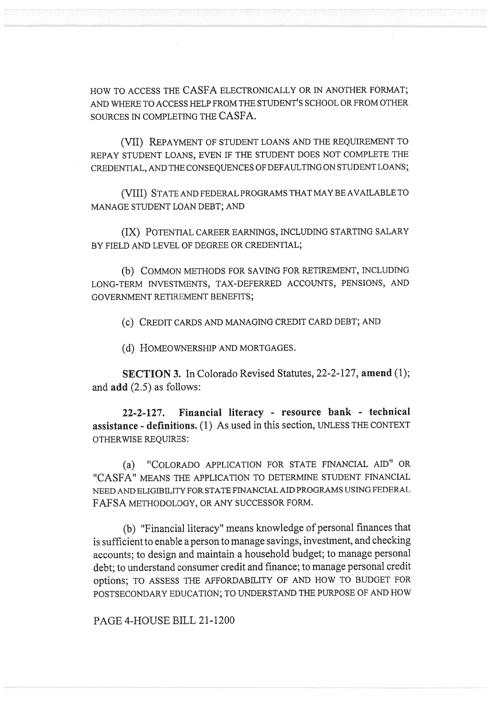HOW TO ACCESS THE CASFA ELECTRONICALLY OR IN ANOTHER FORMAT; AND WHERE TO ACCESS HELP FROM THE STUDENT'S SCHOOL OR FROM OTHER SOURCES IN COMPLETING THE CASFA.

(VII) REPAYMENT OF STUDENT LOANS AND THE REQUIREMENT TO REPAY STUDENT LOANS, EVEN IF THE STUDENT DOES NOT COMPLETE THE CREDENTIAL, AND THE CONSEQUENCES OF DEFAULTING ON STUDENT LOANS;

(VIII) STATE AND FEDERAL PROGRAMS THAT MAY BE AVAILABLE TO MANAGE STUDENT LOAN DEBT; AND

(IX) POTENTIAL CAREER EARNINGS, INCLUDING STARTING SALARY BY FIELD AND LEVEL OF DEGREE OR CREDENTIAL;

(b) COMMON METHODS FOR SAVING FOR RETIREMENT, INCLUDING LONG-TERM INVESTMENTS, TAX-DEFERRED ACCOUNTS, PENSIONS, AND GOVERNMENT RETIREMENT BENEFITS;

(c) CREDIT CARDS AND MANAGING CREDIT CARD DEBT; AND

(d) HOMEOWNERSHIP AND MORTGAGES.

SECTION 3. In Colorado Revised Statutes, 22-2-127, amend (1); and add (2.5) as follows:

22-2-127. Financial literacy - resource bank - technical assistance - definitions. (1) As used in this section, UNLESS THE CONTEXT OTHERWISE REQUIRES:

(a) "COLORADO APPLICATION FOR STATE FINANCIAL AID" OR "CASFA" MEANS THE APPLICATION TO DETERMINE STUDENT FINANCIAL NEED AND ELIGIBILITY FOR STATE FINANCIAL AID PROGRAMS USING FEDERAL FAFSA METHODOLOGY, OR ANY SUCCESSOR FORM.

(b) "Financial literacy" means knowledge of personal finances that is sufficient to enable a person to manage savings, investment, and checking accounts; to design and maintain a household budget; to manage personal debt; to understand consumer credit and finance; to manage personal credit options; TO ASSESS THE AFFORDABILITY OF AND HOW TO BUDGET FOR POSTSECONDARY EDUCATION; TO UNDERSTAND THE PURPOSE OF AND HOW

PAGE 4-HOUSE BILL 21-1200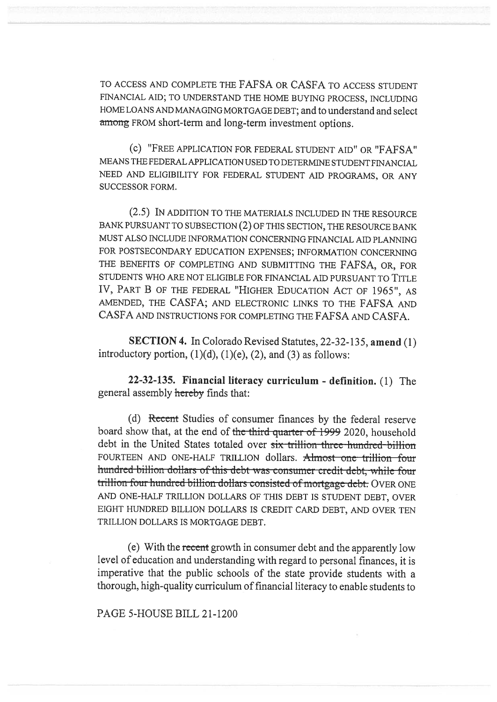TO ACCESS AND COMPLETE THE FAFSA OR CASFA TO ACCESS STUDENT FINANCIAL AID; TO UNDERSTAND THE HOME BUYING PROCESS, INCLUDING HOME LOANS AND MANAGING MORTGAGE DEBT; and to understand and select among FROM short-term and long-term investment options.

(c) "FREE APPLICATION FOR FEDERAL STUDENT AID" OR "FAFSA" MEANS THE FEDERAL APPLICATION USED TO DETERMINE STUDENT FINANCIAL NEED AND ELIGIBILITY FOR FEDERAL STUDENT AID PROGRAMS, OR ANY SUCCESSOR FORM.

(2.5) IN ADDITION TO THE MATERIALS INCLUDED IN THE RESOURCE BANK PURSUANT TO SUBSECTION (2) OF THIS SECTION, THE RESOURCE BANK MUST ALSO INCLUDE INFORMATION CONCERNING FINANCIAL AID PLANNING FOR POSTSECONDARY EDUCATION EXPENSES; INFORMATION CONCERNING THE BENEFITS OF COMPLETING AND SUBMITTING THE FAFSA, OR, FOR STUDENTS WHO ARE NOT ELIGIBLE FOR FINANCIAL AID PURSUANT TO TITLE IV, PART B OF THE FEDERAL "HIGHER EDUCATION ACT OF 1965", AS AMENDED, THE CASFA; AND ELECTRONIC LINKS TO THE FAFSA AND CASFA AND INSTRUCTIONS FOR COMPLETING THE FAFSA AND CASFA.

SECTION 4. In Colorado Revised Statutes, 22-32-135, amend (1) introductory portion,  $(1)(d)$ ,  $(1)(e)$ ,  $(2)$ , and  $(3)$  as follows:

22-32-135. Financial literacy curriculum - definition. (1) The general assembly hereby finds that:

(d) Recent Studies of consumer finances by the federal reserve board show that, at the end of the third quarter of 1999 2020, household debt in the United States totaled over six trillion three-hundred-billion FOURTEEN AND ONE-HALF TRILLION dollars. Almost one trillion four hundred billion dollars of this debt was consumer credit debt, while four trillion four hundred billion dollars consisted of mortgage-debt. OVER ONE AND ONE-HALF TRILLION DOLLARS OF THIS DEBT IS STUDENT DEBT, OVER EIGHT HUNDRED BILLION DOLLARS IS CREDIT CARD DEBT, AND OVER TEN TRILLION DOLLARS IS MORTGAGE DEBT.

(e) With the recent growth in consumer debt and the apparently low level of education and understanding with regard to personal finances, it is imperative that the public schools of the state provide students with a thorough, high-quality curriculum of financial literacy to enable students to

PAGE 5-HOUSE BILL 21-1200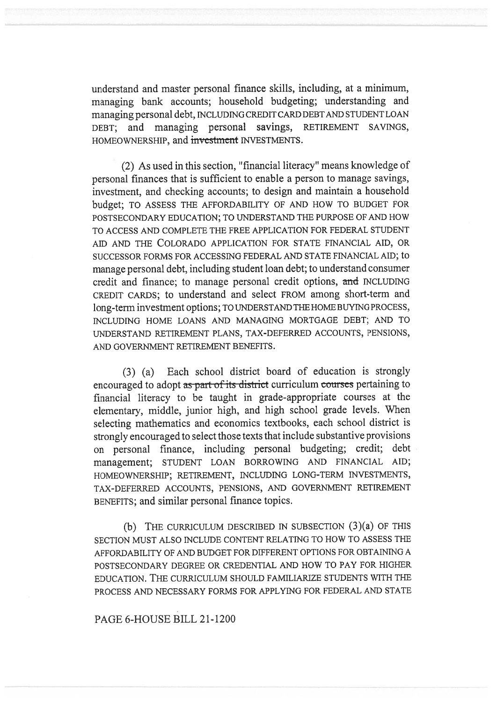understand and master personal finance skills, including, at a minimum, managing bank accounts; household budgeting; understanding and managing personal debt, INCLUDING CREDIT CARD DEBT AND STUDENT LOAN DEBT; and managing personal savings, RETIREMENT SAVINGS, HOMEOWNERSHIP, and investment INVESTMENTS.

(2) As used in this section, "financial literacy" means knowledge of personal finances that is sufficient to enable a person to manage savings, investment, and checking accounts; to design and maintain a household budget; TO ASSESS THE AFFORDABILITY OF AND HOW TO BUDGET FOR POSTSECONDARY EDUCATION; TO UNDERSTAND THE PURPOSE OF AND HOW TO ACCESS AND COMPLETE THE FREE APPLICATION FOR FEDERAL STUDENT AID AND THE COLORADO APPLICATION FOR STATE FINANCIAL AID, OR SUCCESSOR FORMS FOR ACCESSING FEDERAL AND STATE FINANCIAL AID; to manage personal debt, including student loan debt; to understand consumer credit and finance; to manage personal credit options, and INCLUDING CREDIT CARDS; to understand and select FROM among short-term and long-term investment options; TO UNDERSTAND THE HOME BUYING PROCESS, INCLUDING HOME LOANS AND MANAGING MORTGAGE DEBT; AND TO UNDERSTAND RETIREMENT PLANS, TAX-DEFERRED ACCOUNTS, PENSIONS, AND GOVERNMENT RETIREMENT BENEFITS.

(3) (a) Each school district board of education is strongly encouraged to adopt as part of its district curriculum courses pertaining to financial literacy to be taught in grade-appropriate courses at the elementary, middle, junior high, and high school grade levels. When selecting mathematics and economics textbooks, each school district is strongly encouraged to select those texts that include substantive provisions on personal finance, including personal budgeting; credit; debt management; STUDENT LOAN BORROWING AND FINANCIAL AID; HOMEOWNERSHIP; RETIREMENT, INCLUDING LONG-TERM INVESTMENTS, TAX-DEFERRED ACCOUNTS, PENSIONS, AND GOVERNMENT RETIREMENT BENEFITS; and similar personal finance topics.

(b) THE CURRICULUM DESCRIBED IN SUBSECTION (3)(a) OF THIS SECTION MUST ALSO INCLUDE CONTENT RELATING TO HOW TO ASSESS THE AFFORDABILITY OF AND BUDGET FOR DIFFERENT OPTIONS FOR OBTAINING A POSTSECONDARY DEGREE OR CREDENTIAL AND HOW TO PAY FOR HIGHER EDUCATION. THE CURRICULUM SHOULD FAMILIARIZE STUDENTS WITH THE PROCESS AND NECESSARY FORMS FOR APPLYING FOR FEDERAL AND STATE

PAGE 6-HOUSE BILL 21-1200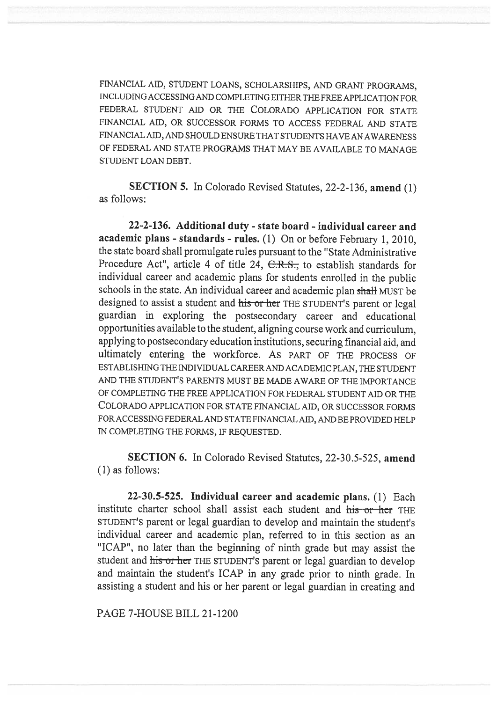FINANCIAL AID, STUDENT LOANS, SCHOLARSHIPS, AND GRANT PROGRAMS, INCLUDING ACCESSING AND COMPLETING EITHER THE FREE APPLICATION FOR FEDERAL STUDENT AID OR THE COLORADO APPLICATION FOR STATE FINANCIAL AID, OR SUCCESSOR FORMS TO ACCESS FEDERAL AND STATE FINANCIAL AID, AND SHOULD ENSURE THAT STUDENTS HAVE AN AWARENESS OF FEDERAL AND STATE PROGRAMS THAT MAY BE AVAILABLE TO MANAGE STUDENT LOAN DEBT.

SECTION 5. In Colorado Revised Statutes, 22-2-136, amend (1) as follows:

22-2-136. Additional duty - state board - individual career and academic plans - standards - rules. (1) On or before February 1, 2010, the state board shall promulgate rules pursuant to the "State Administrative Procedure Act", article 4 of title 24, C.R.S., to establish standards for individual career and academic plans for students enrolled in the public schools in the state. An individual career and academic plan shall MUST be designed to assist a student and his or her THE STUDENT'S parent or legal guardian in exploring the postsecondary career and educational opportunities available to the student, aligning course work and curriculum, applying to postsecondary education institutions, securing financial aid, and ultimately entering the workforce. AS PART OF THE PROCESS OF ESTABLISHING THE INDIVIDUAL CAREER AND ACADEMIC PLAN, THE STUDENT AND THE STUDENT'S PARENTS MUST BE MADE AWARE OF THE IMPORTANCE OF COMPLETING THE FREE APPLICATION FOR FEDERAL STUDENT AID OR THE COLORADO APPLICATION FOR STATE FINANCIAL AID, OR SUCCESSOR FORMS FOR ACCESSING FEDERAL AND STATE FINANCIAL AID, AND BE PROVIDED HELP IN COMPLETING THE FORMS, IF REQUESTED.

SECTION 6. In Colorado Revised Statutes, 22-30.5-525, amend (1) as follows:

22-30.5-525. Individual career and academic plans. (1) Each institute charter school shall assist each student and his or her THE STUDENT'S parent or legal guardian to develop and maintain the student's individual career and academic plan, referred to in this section as an "ICAP", no later than the beginning of ninth grade but may assist the student and his or her THE STUDENT'S parent or legal guardian to develop and maintain the student's ICAP in any grade prior to ninth grade. In assisting a student and his or her parent or legal guardian in creating and

PAGE 7-HOUSE BILL 21-1200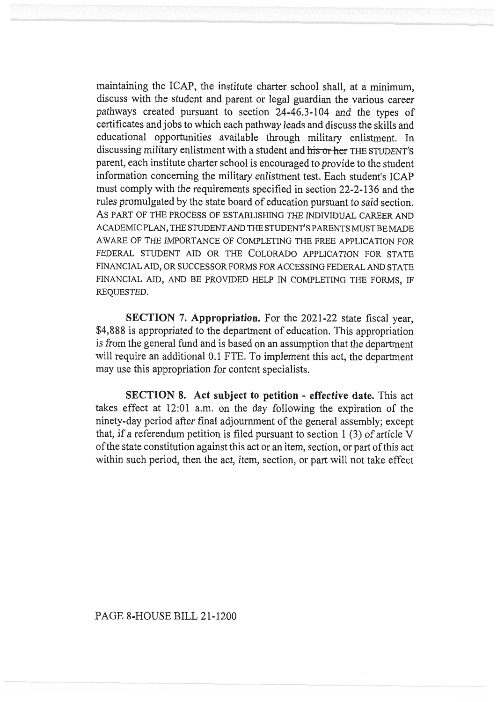maintaining the ICAP, the institute charter school shall, at a minimum, discuss with the student and parent or legal guardian the various career pathways created pursuant to section 24-46.3-104 and the types of certificates and jobs to which each pathway leads and discuss the skills and educational opportunities available through military enlistment. In discussing military enlistment with a student and his or her THE STUDENT'S parent, each institute charter school is encouraged to provide to the student information concerning the military enlistment test. Each student's ICAP must comply with the requirements specified in section 22-2-136 and the rules promulgated by the state board of education pursuant to said section. AS PART OF THE PROCESS OF ESTABLISHING THE INDIVIDUAL CAREER AND ACADEMIC PLAN, THE STUDENT AND THE STUDENT'S PARENTS MUST BE MADE AWARE OF THE IMPORTANCE OF COMPLETING THE FREE APPLICATION FOR FEDERAL STUDENT AID OR THE COLORADO APPLICATION FOR STATE FINANCIAL AID, OR SUCCESSOR FORMS FOR ACCESSING FEDERAL AND STATE FINANCIAL AID, AND BE PROVIDED HELP IN COMPLETING THE FORMS, IF REQUESTED.

SECTION 7. Appropriation. For the 2021-22 state fiscal year, \$4,888 is appropriated to the department of education. This appropriation is from the general fund and is based on an assumption that the department will require an additional 0.1 FTE. To implement this act, the department may use this appropriation for content specialists.

SECTION 8. Act subject to petition - effective date. This act takes effect at 12:01 a.m. on the day following the expiration of the ninety-day period after final adjournment of the general assembly; except that, if a referendum petition is filed pursuant to section 1 (3) of article V of the state constitution against this act or an item, section, or part of this act within such period, then the act, item, section, or part will not take effect

PAGE 8-HOUSE BILL 21-1200